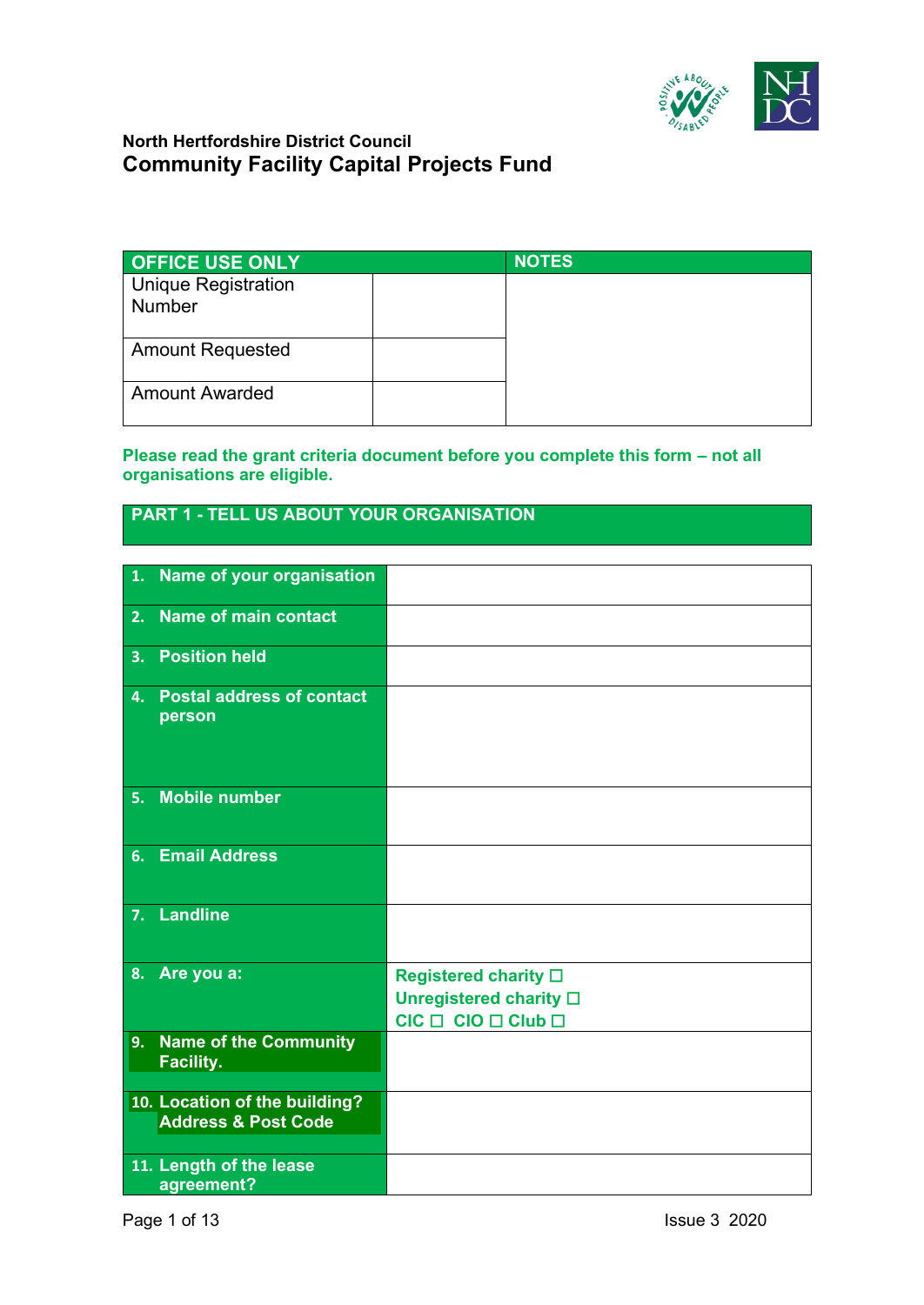

| <b>OFFICE USE ONLY</b>                      | <b>NOTES</b> |
|---------------------------------------------|--------------|
| <b>Unique Registration</b><br><b>Number</b> |              |
|                                             |              |
| <b>Amount Requested</b>                     |              |
| <b>Amount Awarded</b>                       |              |

#### **Please read the grant criteria document before you complete this form – not all organisations are eligible.**

# **PART 1 - TELL US ABOUT YOUR ORGANISATION**

| 1. | Name of your organisation                                       |                                                                                                    |
|----|-----------------------------------------------------------------|----------------------------------------------------------------------------------------------------|
| 2. | <b>Name of main contact</b>                                     |                                                                                                    |
| 3. | <b>Position held</b>                                            |                                                                                                    |
| 4. | <b>Postal address of contact</b><br>person                      |                                                                                                    |
| 5. | <b>Mobile number</b>                                            |                                                                                                    |
|    | 6. Email Address                                                |                                                                                                    |
|    | 7. Landline                                                     |                                                                                                    |
| 8. | Are you a:                                                      | <b>Registered charity</b> □<br>Unregistered charity $\square$<br>$CIC \Box$ $CIO \Box$ $CIub \Box$ |
| 9. | <b>Name of the Community</b><br><b>Facility.</b>                |                                                                                                    |
|    | 10. Location of the building?<br><b>Address &amp; Post Code</b> |                                                                                                    |
|    | 11. Length of the lease<br>agreement?                           |                                                                                                    |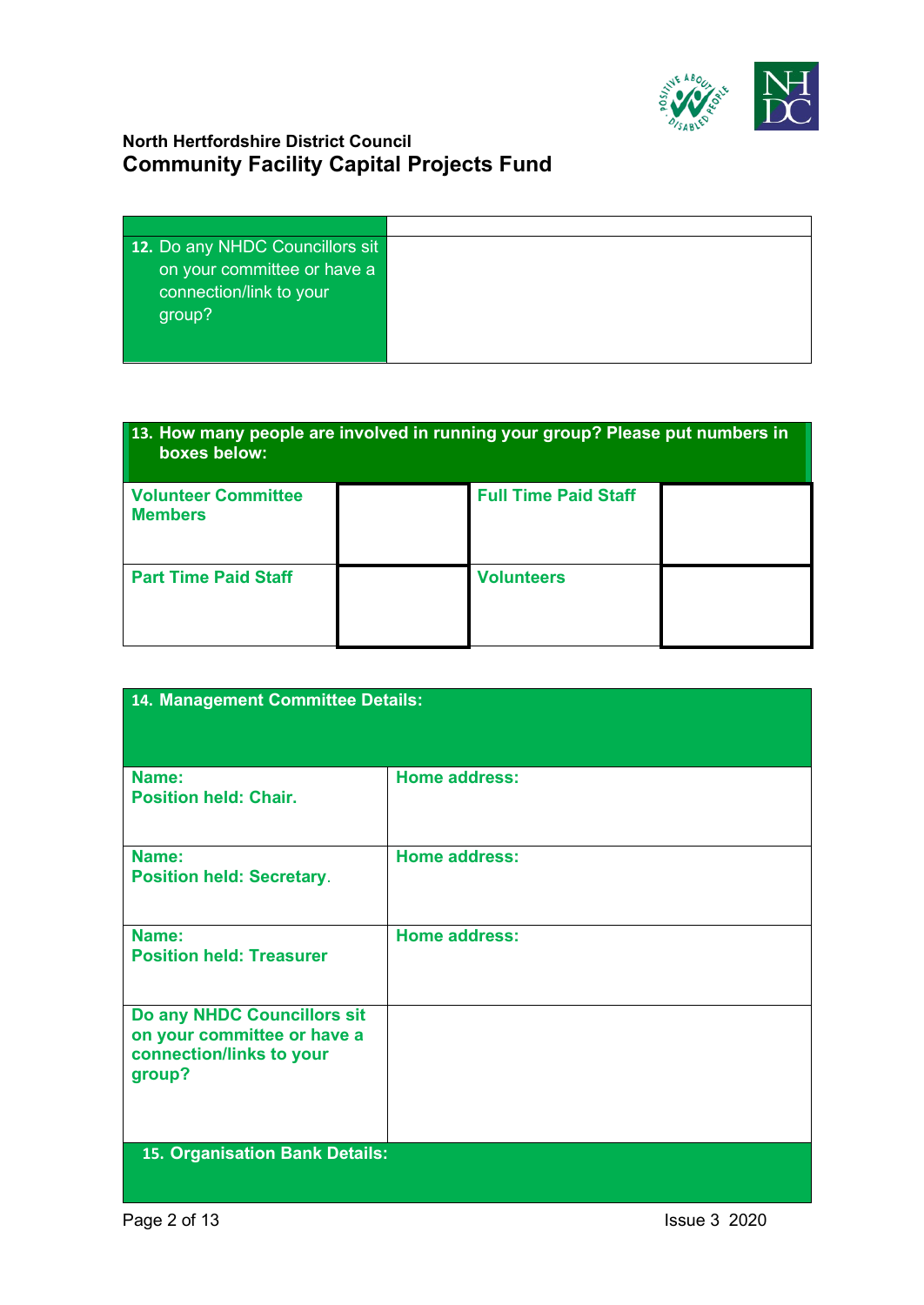

| 12. Do any NHDC Councillors sit |  |
|---------------------------------|--|
| on your committee or have a     |  |
| connection/link to your         |  |
| group?                          |  |
|                                 |  |
|                                 |  |

| 13. How many people are involved in running your group? Please put numbers in<br>boxes below: |  |                             |  |
|-----------------------------------------------------------------------------------------------|--|-----------------------------|--|
| <b>Volunteer Committee</b><br><b>Members</b>                                                  |  | <b>Full Time Paid Staff</b> |  |
| <b>Part Time Paid Staff</b>                                                                   |  | <b>Volunteers</b>           |  |

| 14. Management Committee Details:                                                                |                      |
|--------------------------------------------------------------------------------------------------|----------------------|
|                                                                                                  |                      |
| Name:<br><b>Position held: Chair.</b>                                                            | <b>Home address:</b> |
| Name:<br><b>Position held: Secretary.</b>                                                        | <b>Home address:</b> |
| Name:<br><b>Position held: Treasurer</b>                                                         | <b>Home address:</b> |
| Do any NHDC Councillors sit<br>on your committee or have a<br>connection/links to your<br>group? |                      |
| 15. Organisation Bank Details:                                                                   |                      |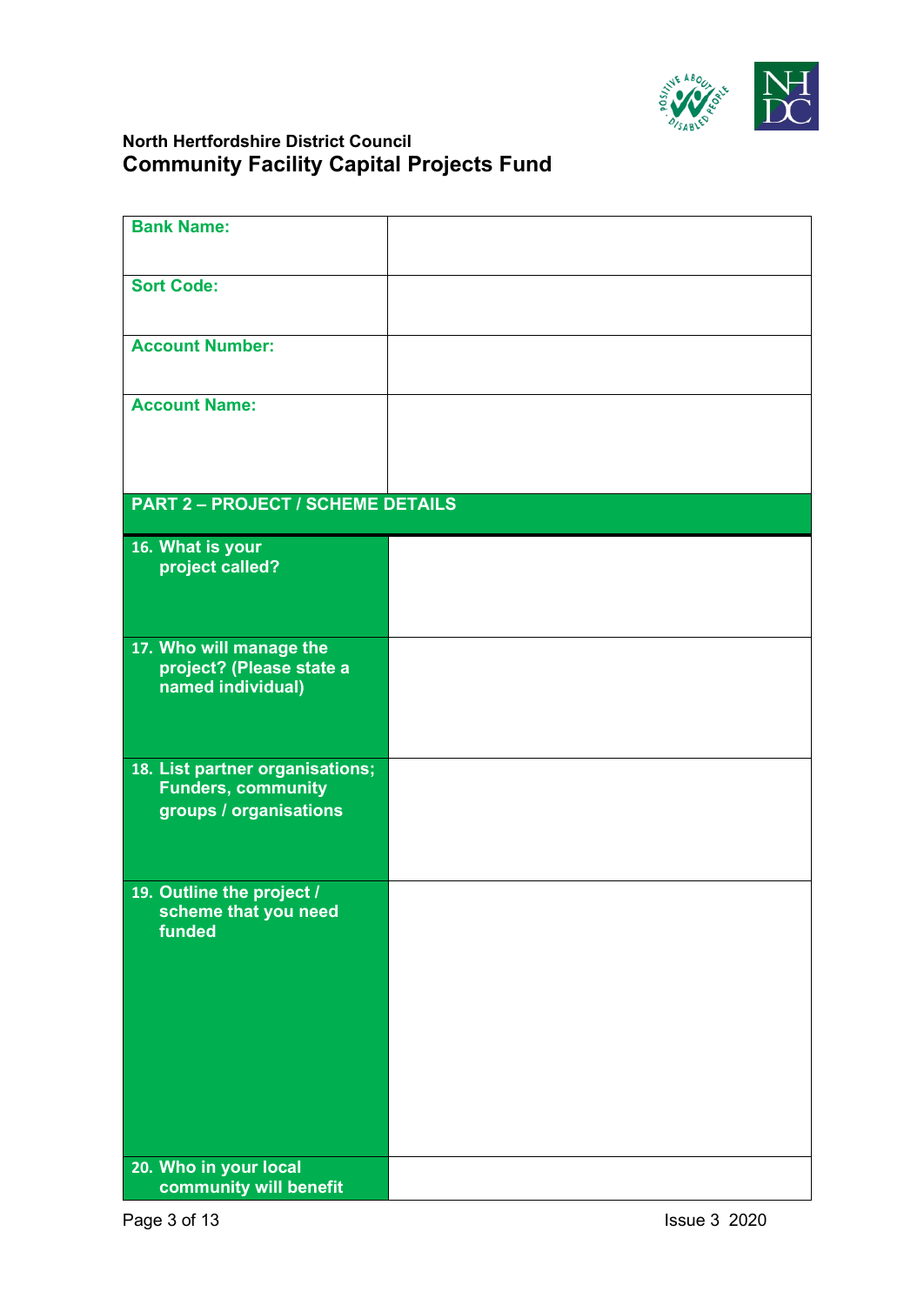

| <b>Bank Name:</b>                                            |  |
|--------------------------------------------------------------|--|
|                                                              |  |
|                                                              |  |
| <b>Sort Code:</b>                                            |  |
|                                                              |  |
|                                                              |  |
| <b>Account Number:</b>                                       |  |
|                                                              |  |
|                                                              |  |
| <b>Account Name:</b>                                         |  |
|                                                              |  |
|                                                              |  |
|                                                              |  |
| <b>PART 2 - PROJECT / SCHEME DETAILS</b>                     |  |
|                                                              |  |
| 16. What is your                                             |  |
| project called?                                              |  |
|                                                              |  |
|                                                              |  |
|                                                              |  |
| 17. Who will manage the                                      |  |
| project? (Please state a                                     |  |
| named individual)                                            |  |
|                                                              |  |
|                                                              |  |
|                                                              |  |
| 18. List partner organisations;<br><b>Funders, community</b> |  |
|                                                              |  |
| groups / organisations                                       |  |
|                                                              |  |
|                                                              |  |
| 19. Outline the project /                                    |  |
| scheme that you need                                         |  |
| funded                                                       |  |
|                                                              |  |
|                                                              |  |
|                                                              |  |
|                                                              |  |
|                                                              |  |
|                                                              |  |
|                                                              |  |
|                                                              |  |
|                                                              |  |
|                                                              |  |
| 20. Who in your local                                        |  |
| community will benefit                                       |  |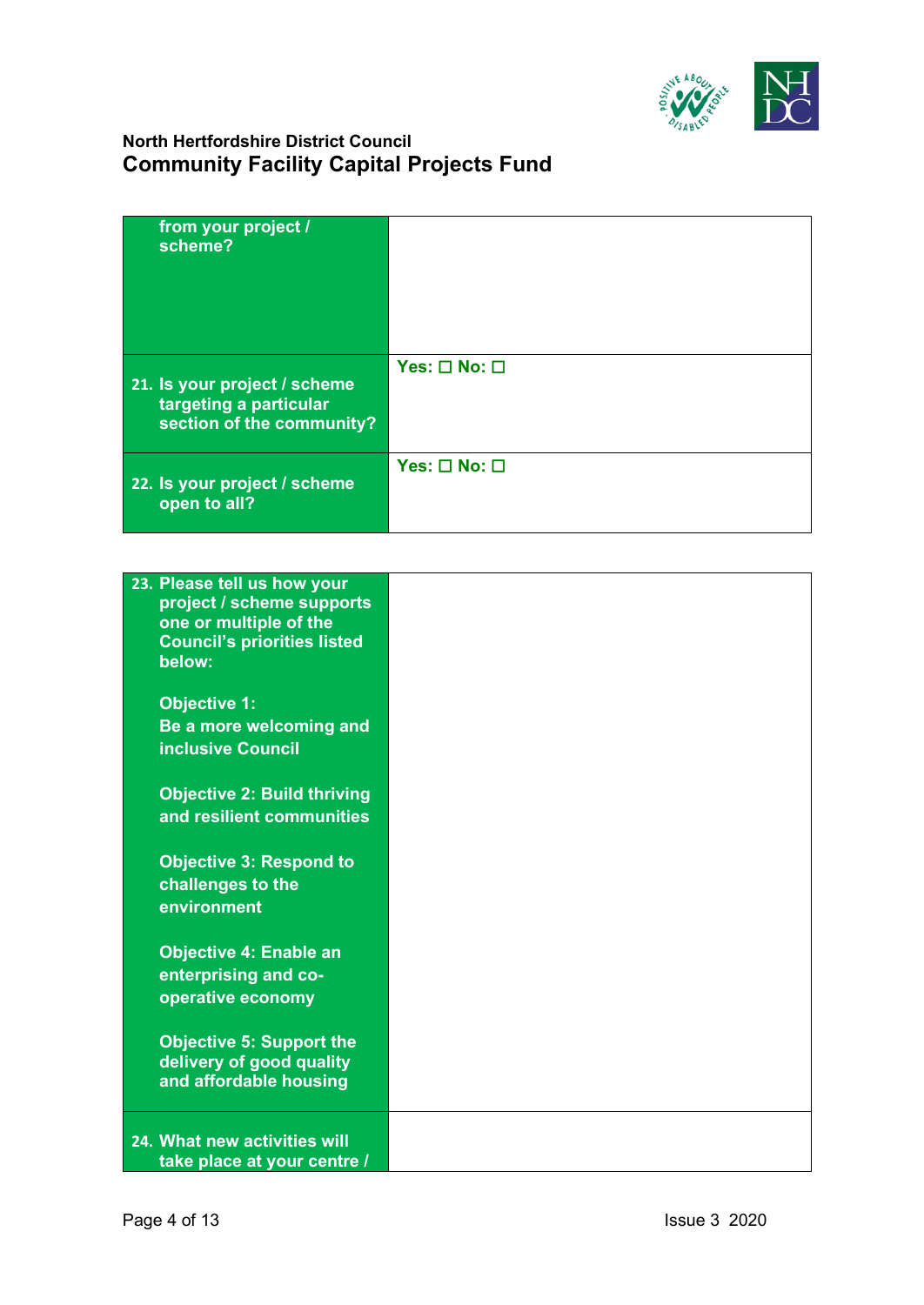

| from your project /<br>scheme?                                                      |                              |
|-------------------------------------------------------------------------------------|------------------------------|
| 21. Is your project / scheme<br>targeting a particular<br>section of the community? | Yes: $\square$ No: $\square$ |
| 22. Is your project / scheme<br>open to all?                                        | Yes: $\square$ No: $\square$ |

| 23. Please tell us how your<br>project / scheme supports<br>one or multiple of the<br><b>Council's priorities listed</b> |  |
|--------------------------------------------------------------------------------------------------------------------------|--|
| below:                                                                                                                   |  |
| <b>Objective 1:</b>                                                                                                      |  |
| Be a more welcoming and                                                                                                  |  |
| <b>inclusive Council</b>                                                                                                 |  |
|                                                                                                                          |  |
| <b>Objective 2: Build thriving</b>                                                                                       |  |
| and resilient communities                                                                                                |  |
| <b>Objective 3: Respond to</b>                                                                                           |  |
| challenges to the                                                                                                        |  |
| environment                                                                                                              |  |
|                                                                                                                          |  |
| <b>Objective 4: Enable an</b>                                                                                            |  |
| enterprising and co-                                                                                                     |  |
| operative economy                                                                                                        |  |
|                                                                                                                          |  |
| <b>Objective 5: Support the</b><br>delivery of good quality                                                              |  |
| and affordable housing                                                                                                   |  |
|                                                                                                                          |  |
| 24. What new activities will                                                                                             |  |
| take place at your centre /                                                                                              |  |
|                                                                                                                          |  |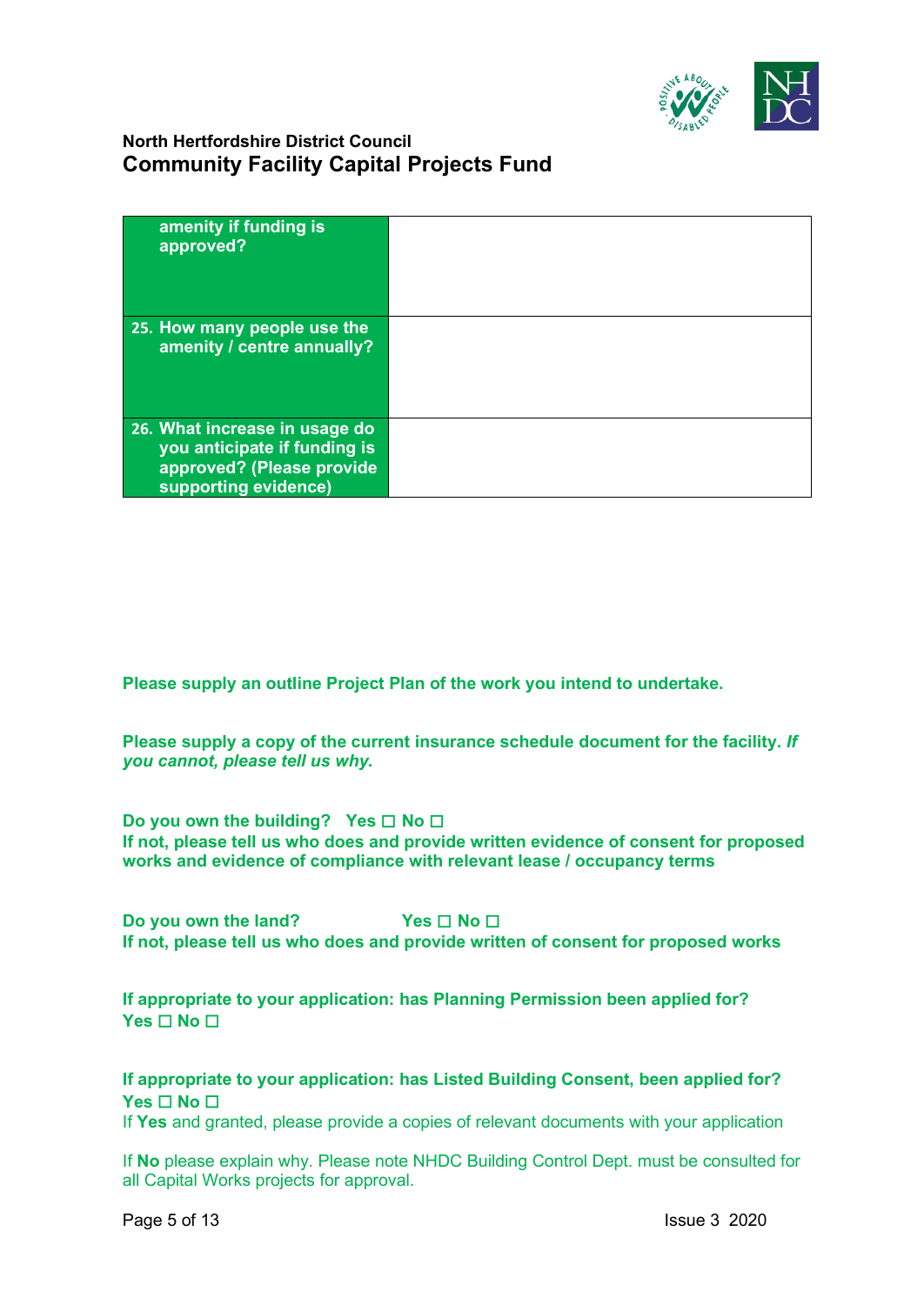

| amenity if funding is<br>approved?                                                                                 |  |
|--------------------------------------------------------------------------------------------------------------------|--|
| 25. How many people use the<br>amenity / centre annually?                                                          |  |
| 26. What increase in usage do<br>you anticipate if funding is<br>approved? (Please provide<br>supporting evidence) |  |

**Please supply an outline Project Plan of the work you intend to undertake.**

**Please supply a copy of the current insurance schedule document for the facility.** *If you cannot, please tell us why.*

**Do you own the building? Yes** ☐ **No** ☐ **If not, please tell us who does and provide written evidence of consent for proposed works and evidence of compliance with relevant lease / occupancy terms**

**Do you own the land? Yes □ No** □ **If not, please tell us who does and provide written of consent for proposed works**

**If appropriate to your application: has Planning Permission been applied for? Yes** ☐ **No** ☐

**If appropriate to your application: has Listed Building Consent, been applied for? Yes** ☐ **No** ☐

If **Yes** and granted, please provide a copies of relevant documents with your application

If **No** please explain why. Please note NHDC Building Control Dept. must be consulted for all Capital Works projects for approval.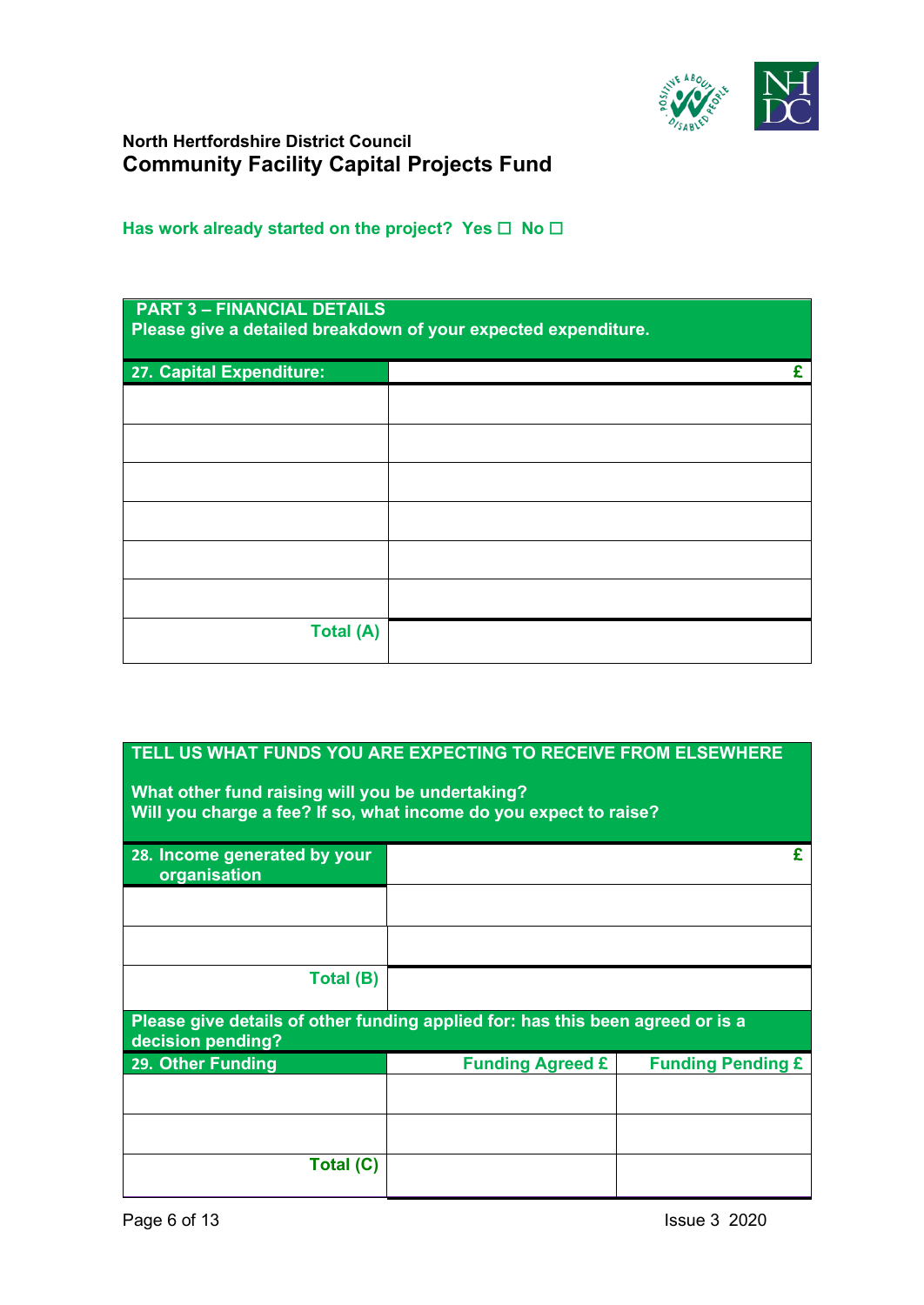

#### Has work already started on the project? Yes □ No □

| <b>PART 3 - FINANCIAL DETAILS</b><br>Please give a detailed breakdown of your expected expenditure. |  |
|-----------------------------------------------------------------------------------------------------|--|
| 27. Capital Expenditure:                                                                            |  |
|                                                                                                     |  |
|                                                                                                     |  |
|                                                                                                     |  |
|                                                                                                     |  |
|                                                                                                     |  |
|                                                                                                     |  |
| Total (A)                                                                                           |  |

# **TELL US WHAT FUNDS YOU ARE EXPECTING TO RECEIVE FROM ELSEWHERE What other fund raising will you be undertaking? Will you charge a fee? If so, what income do you expect to raise? 28. Income generated by your organisation £ Total (B) Please give details of other funding applied for: has this been agreed or is a decision pending? 29. Other Funding Funding Agreed £ Funding Pending £ Total (C)**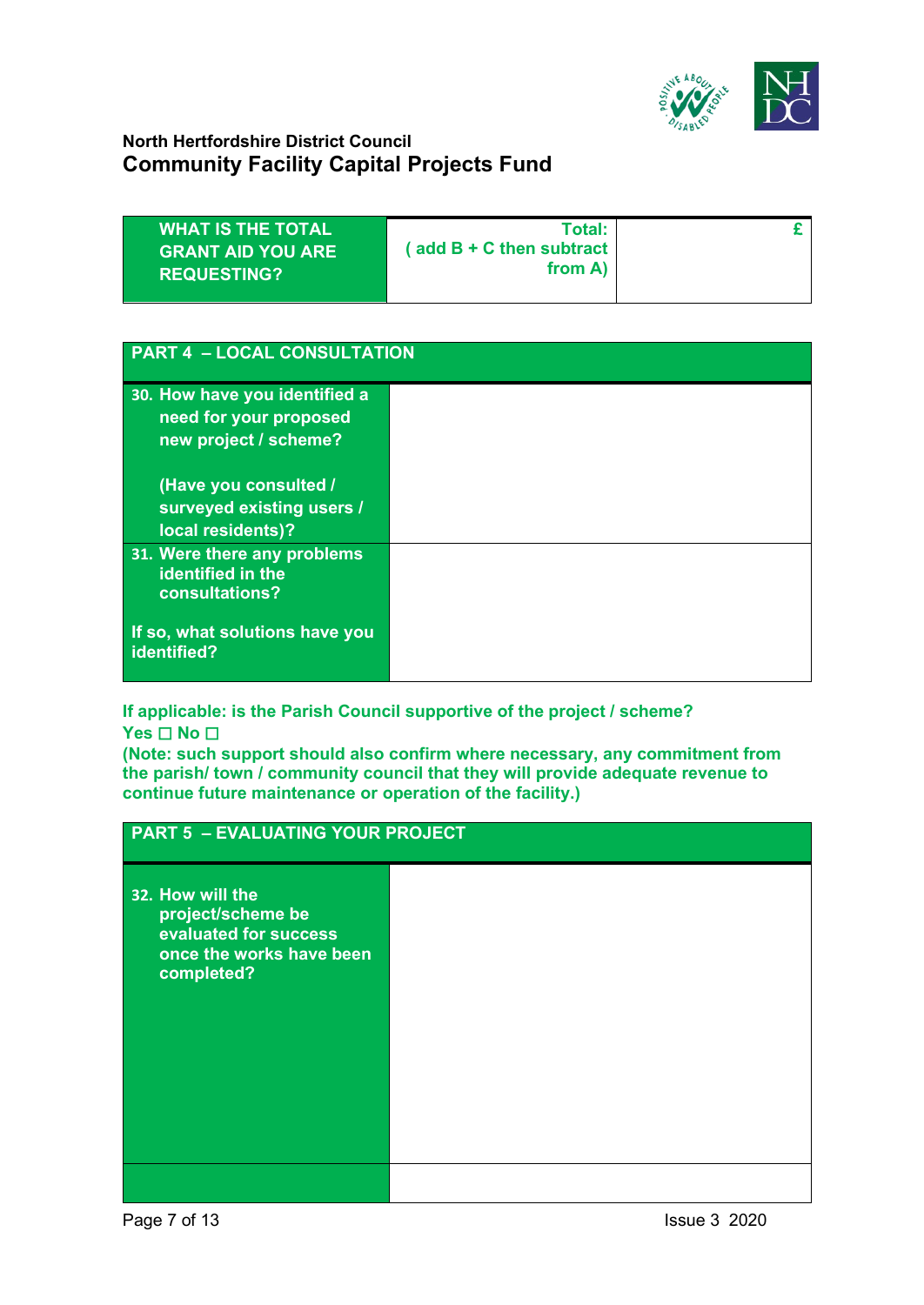

| <b>PART 4 - LOCAL CONSULTATION</b>                                               |  |
|----------------------------------------------------------------------------------|--|
| 30. How have you identified a<br>need for your proposed<br>new project / scheme? |  |
| (Have you consulted /<br>surveyed existing users /<br>local residents)?          |  |
| 31. Were there any problems<br>identified in the<br>consultations?               |  |
| If so, what solutions have you<br>identified?                                    |  |

**If applicable: is the Parish Council supportive of the project / scheme? Yes** ☐ **No** ☐

**(Note: such support should also confirm where necessary, any commitment from the parish/ town / community council that they will provide adequate revenue to continue future maintenance or operation of the facility.)**

| <b>PART 5 - EVALUATING YOUR PROJECT</b>                                                                  |  |  |
|----------------------------------------------------------------------------------------------------------|--|--|
| 32. How will the<br>project/scheme be<br>evaluated for success<br>once the works have been<br>completed? |  |  |
|                                                                                                          |  |  |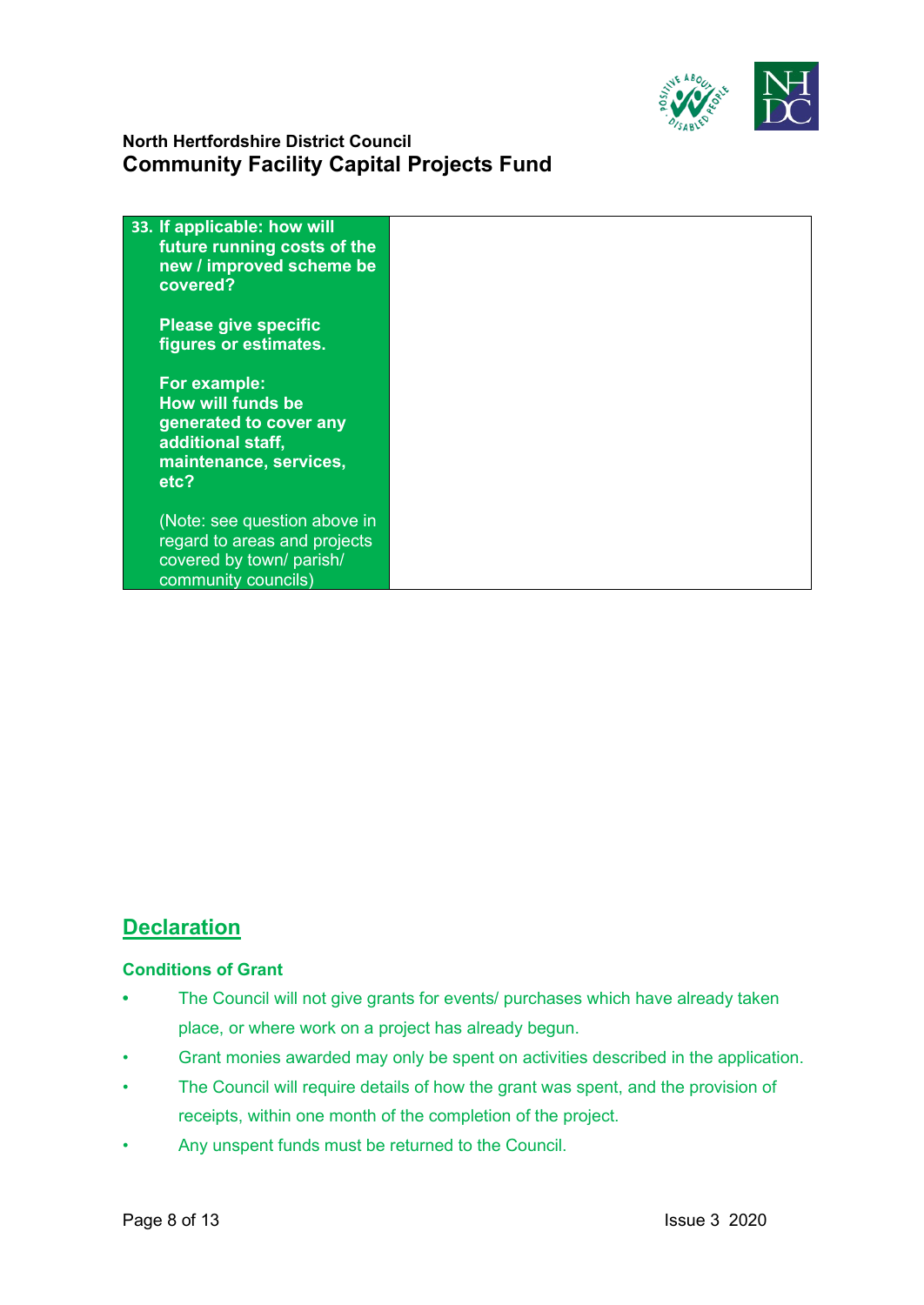

| 33. If applicable: how will<br>future running costs of the<br>new / improved scheme be<br>covered?                 |  |
|--------------------------------------------------------------------------------------------------------------------|--|
| <b>Please give specific</b><br>figures or estimates.                                                               |  |
| For example:<br>How will funds be<br>generated to cover any<br>additional staff,<br>maintenance, services,<br>etc? |  |
| (Note: see question above in<br>regard to areas and projects<br>covered by town/ parish/<br>community councils)    |  |

# **Declaration**

#### **Conditions of Grant**

- **•** The Council will not give grants for events/ purchases which have already taken place, or where work on a project has already begun.
- Grant monies awarded may only be spent on activities described in the application.
- The Council will require details of how the grant was spent, and the provision of receipts, within one month of the completion of the project.
- Any unspent funds must be returned to the Council.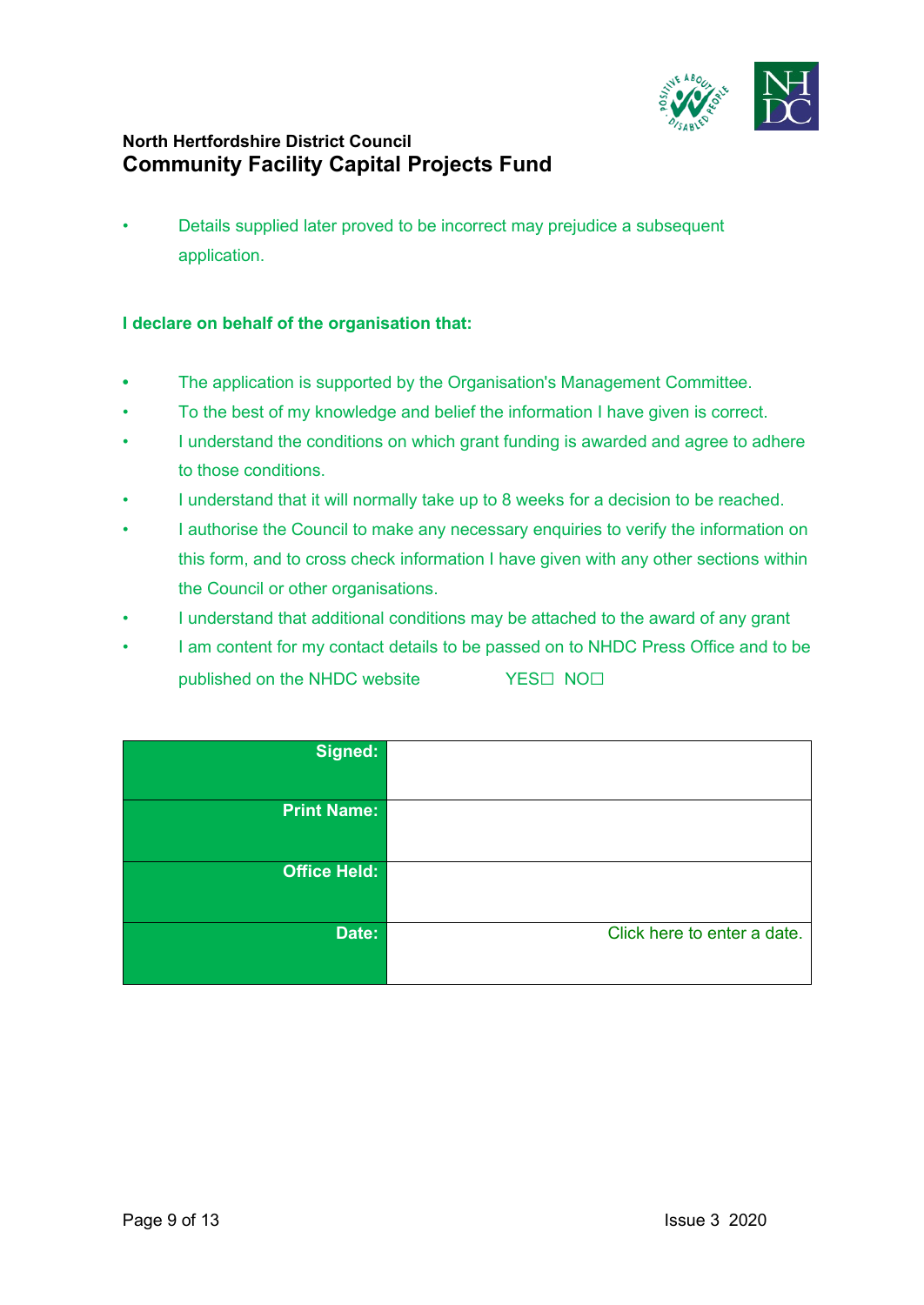

• Details supplied later proved to be incorrect may prejudice a subsequent application.

#### **I declare on behalf of the organisation that:**

- **•** The application is supported by the Organisation's Management Committee.
- To the best of my knowledge and belief the information I have given is correct.
- I understand the conditions on which grant funding is awarded and agree to adhere to those conditions.
- I understand that it will normally take up to 8 weeks for a decision to be reached.
- I authorise the Council to make any necessary enquiries to verify the information on this form, and to cross check information I have given with any other sections within the Council or other organisations.
- I understand that additional conditions may be attached to the award of any grant
- I am content for my contact details to be passed on to NHDC Press Office and to be published on the NHDC website YES□ NO□

| Signed:             |                             |
|---------------------|-----------------------------|
| <b>Print Name:</b>  |                             |
| <b>Office Held:</b> |                             |
| Date:               | Click here to enter a date. |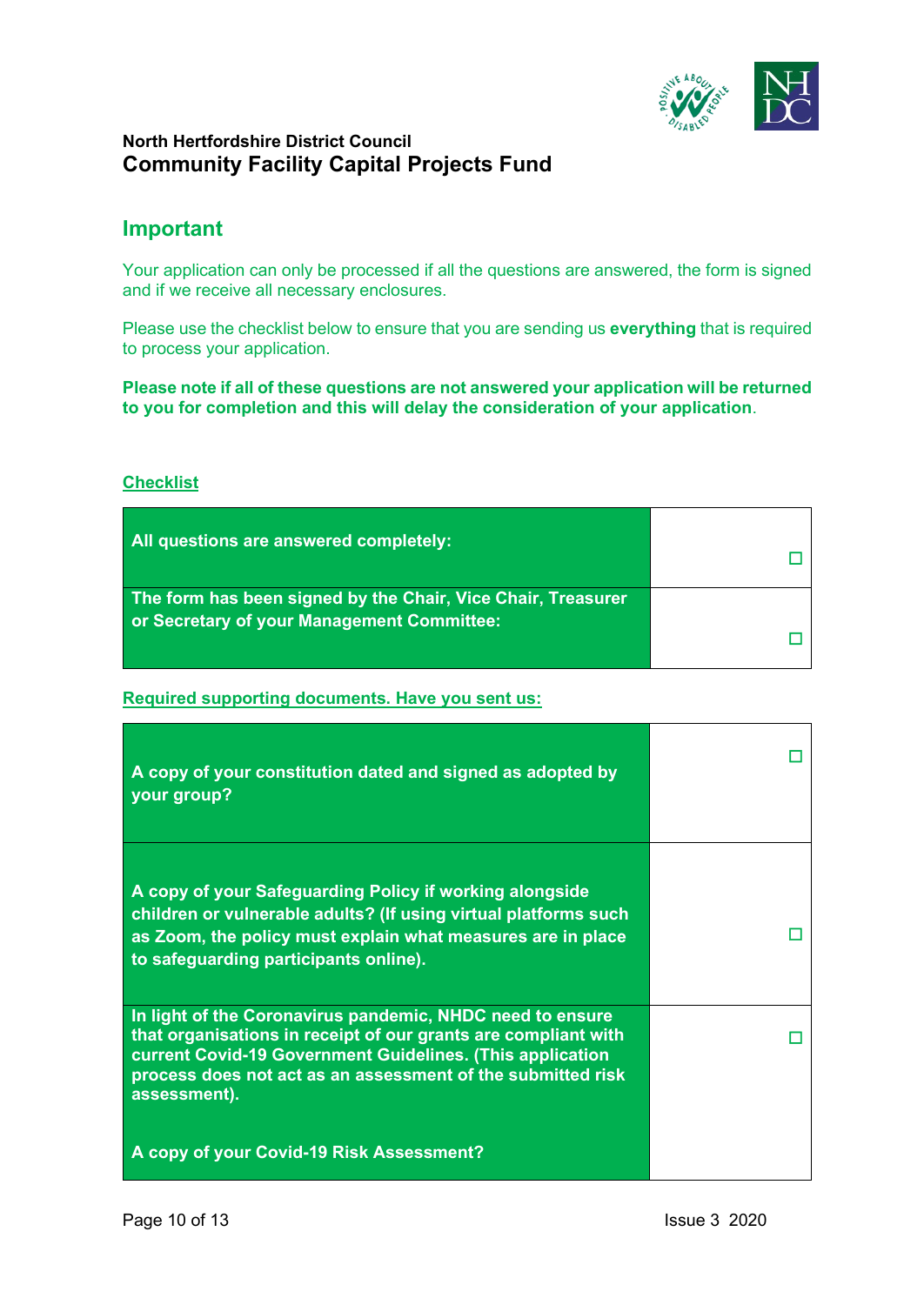

## **Important**

Your application can only be processed if all the questions are answered, the form is signed and if we receive all necessary enclosures.

Please use the checklist below to ensure that you are sending us **everything** that is required to process your application.

**Please note if all of these questions are not answered your application will be returned to you for completion and this will delay the consideration of your application**.

#### **Checklist**

| All questions are answered completely:                                                                     |  |
|------------------------------------------------------------------------------------------------------------|--|
| The form has been signed by the Chair, Vice Chair, Treasurer<br>or Secretary of your Management Committee: |  |

**Required supporting documents. Have you sent us:**

| A copy of your constitution dated and signed as adopted by<br>your group?                                                                                                                                                                                                                                           |  |
|---------------------------------------------------------------------------------------------------------------------------------------------------------------------------------------------------------------------------------------------------------------------------------------------------------------------|--|
| A copy of your Safeguarding Policy if working alongside<br>children or vulnerable adults? (If using virtual platforms such<br>as Zoom, the policy must explain what measures are in place<br>to safeguarding participants online).                                                                                  |  |
| In light of the Coronavirus pandemic, NHDC need to ensure<br>that organisations in receipt of our grants are compliant with<br>current Covid-19 Government Guidelines. (This application<br>process does not act as an assessment of the submitted risk<br>assessment).<br>A copy of your Covid-19 Risk Assessment? |  |